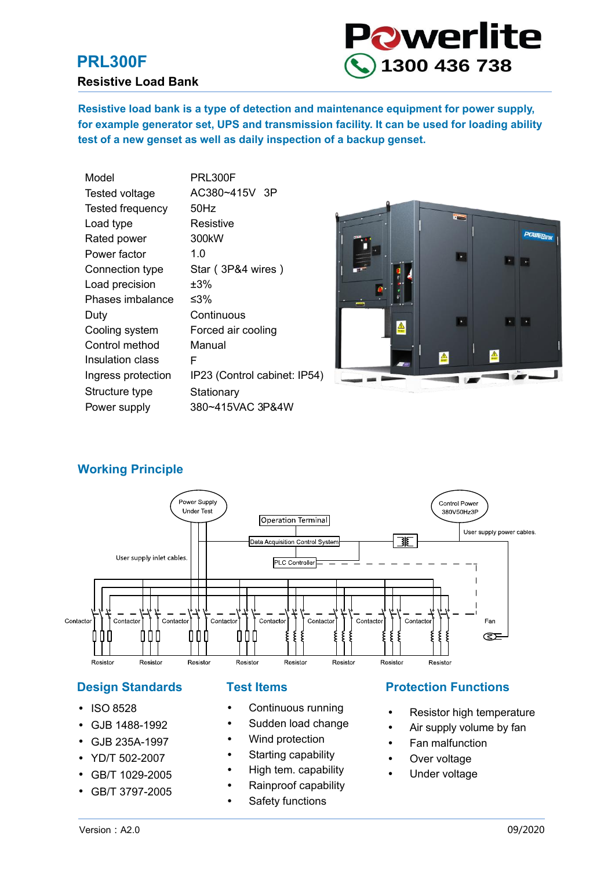#### **PRL300F**

#### **Resistive Load Bank**



**Resistive load bank is a type of detection and maintenance equipment for power supply, for example generator set, UPS and transmission facility. It can be used for loading ability test of a new genset as well as daily inspection of a backup genset.**

| Model              | PRL300F                      |
|--------------------|------------------------------|
| Tested voltage     | AC380~415V 3P                |
| Tested frequency   | 50Hz                         |
| Load type          | Resistive                    |
| Rated power        | 300 <sub>k</sub> W           |
| Power factor       | 1.O                          |
| Connection type    | Star (3P&4 wires)            |
| Load precision     | ±3%                          |
| Phases imbalance   | ≤3%                          |
| Duty               | Continuous                   |
| Cooling system     | Forced air cooling           |
| Control method     | Manual                       |
| Insulation class   | F                            |
| Ingress protection | IP23 (Control cabinet: IP54) |
| Structure type     | Stationary                   |
| Power supply       | 380~415VAC 3P&4W             |
|                    |                              |



#### **Working Principle**



- ISO 8528
- GJB 1488-1992
- $\bullet$ GJB 235A-1997
- YD/T 502-2007
- $\bullet$ GB/T 1029-2005
- $\bullet$ GB/T 3797-2005

- Continuous running
- Sudden load change
- Wind protection
- Starting capability
- High tem. capability
- Rainproof capability
- Safety functions

#### **Design Standards Fest Items Protection Functions**

- Resistor high temperature
- Air supply volume by fan
- Fan malfunction
- Over voltage
- Under voltage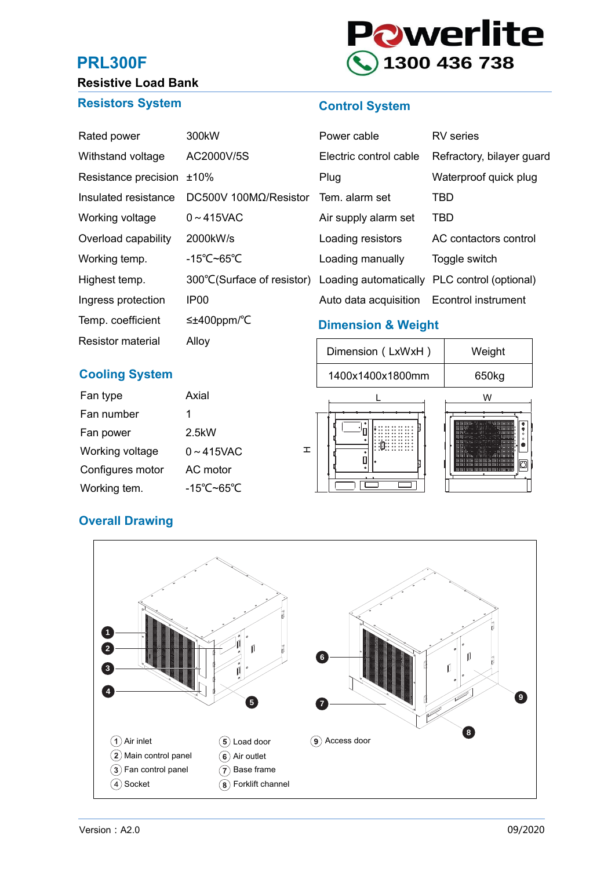### **PRL300F**



## **Resistive Load Bank**

#### **Resistors System**

#### **Control System**

| Rated power          | 300 <sub>k</sub> W                                | Power cable                   | RV series                  |
|----------------------|---------------------------------------------------|-------------------------------|----------------------------|
| Withstand voltage    | AC2000V/5S                                        | Electric control cable        | Refractory, bilayer guard  |
| Resistance precision | $±10\%$                                           | Plug                          | Waterproof quick plug      |
| Insulated resistance | $DC500V$ 100M $\Omega$ /Resistor                  | Tem. alarm set                | TBD                        |
| Working voltage      | $0 \sim 415$ VAC                                  | Air supply alarm set          | <b>TBD</b>                 |
| Overload capability  | 2000kW/s                                          | Loading resistors             | AC contactors control      |
| Working temp.        | -15 $\degree$ C~65 $\degree$ C                    | Loading manually              | Toggle switch              |
| Highest temp.        | 300 °C(Surface of resistor) Loading automatically |                               | PLC control (optional)     |
| Ingress protection   | IP <sub>00</sub>                                  | Auto data acquisition         | <b>Econtrol instrument</b> |
| Temp. coefficient    | $\leq \pm 400$ ppm/°C                             | <b>Dimension &amp; Weight</b> |                            |

#### **Cooling System**

Resistor material

| Fan type         | Axial            |
|------------------|------------------|
| Fan number       | 1                |
| Fan power        | 2.5kW            |
| Working voltage  | $0 \sim 415$ VAC |
| Configures motor | AC motor         |
| Working tem.     | -15°C~65°C       |

Alloy

# Dimension (LxWxH) Weight 650kg L W  $\pm$ 1400x1400x1800mm

#### **Overall Drawing**